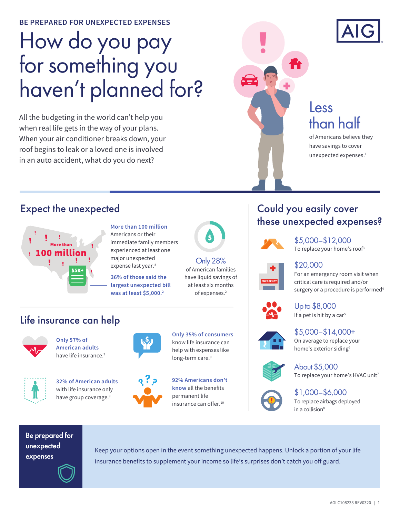**BE PREPARED FOR UNEXPECTED EXPENSES** 

# How do you pay for something you haven't planned for?

All the budgeting in the world can't help you when real life gets in the way of your plans. When your air conditioner breaks down, your roof begins to leak or a loved one is involved in an auto accident, what do you do next?



## Less than half

of Americans believe they have savings to cover unexpected expenses.<sup>1</sup>

### Expect the unexpected



**More than 100 million** Americans or their immediate family members experienced at least one major unexpected expense last year.<sup>2</sup>

**36% of those said the largest unexpected bill was at least \$5,000.2**



Only 28% of American families have liquid savings of at least six months of expenses.<sup>2</sup>

### Could you easily cover these unexpected expenses?



To replace your home's roof<sup>3</sup> \$5,000–\$12,000

#### \$20,000

For an emergency room visit when critical care is required and/or surgery or a procedure is performed<sup>4</sup>



If a pet is hit by a car<sup>5</sup> Up to \$8,000



On average to replace your home's exterior siding<sup>6</sup> \$5,000–\$14,000+



To replace your home's HVAC unit<sup>7</sup> About \$5,000



To replace airbags deployed \$1,000–\$6,000

Be prepared for unexpected expenses

Keep your options open in the event something unexpected happens. Unlock a portion of your life insurance benefits to supplement your income so life's surprises don't catch you off guard.

# Life insurance can help



**Only 57% of American adults** have life insurance.<sup>9</sup>

with life insurance only have group coverage.<sup>9</sup>





**92% Americans don't know** all the benefits permanent life insurance can offer.<sup>10</sup>

**Only 35% of consumers** know life insurance can help with expenses like long-term care.<sup>9</sup>

# in a collision<sup>8</sup>